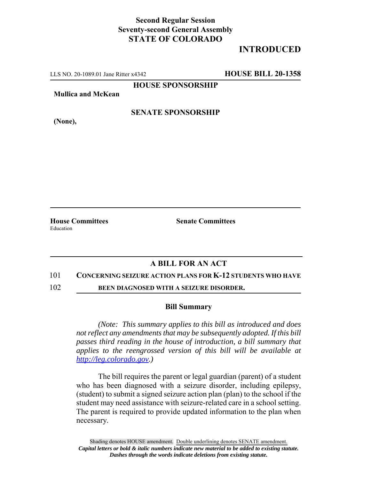## **Second Regular Session Seventy-second General Assembly STATE OF COLORADO**

# **INTRODUCED**

LLS NO. 20-1089.01 Jane Ritter x4342 **HOUSE BILL 20-1358**

**HOUSE SPONSORSHIP**

**Mullica and McKean**

**(None),**

**SENATE SPONSORSHIP**

Education

**House Committees Senate Committees** 

### **A BILL FOR AN ACT**

#### 101 **CONCERNING SEIZURE ACTION PLANS FOR K-12 STUDENTS WHO HAVE**

102 **BEEN DIAGNOSED WITH A SEIZURE DISORDER.**

#### **Bill Summary**

*(Note: This summary applies to this bill as introduced and does not reflect any amendments that may be subsequently adopted. If this bill passes third reading in the house of introduction, a bill summary that applies to the reengrossed version of this bill will be available at http://leg.colorado.gov.)*

The bill requires the parent or legal guardian (parent) of a student who has been diagnosed with a seizure disorder, including epilepsy, (student) to submit a signed seizure action plan (plan) to the school if the student may need assistance with seizure-related care in a school setting. The parent is required to provide updated information to the plan when necessary.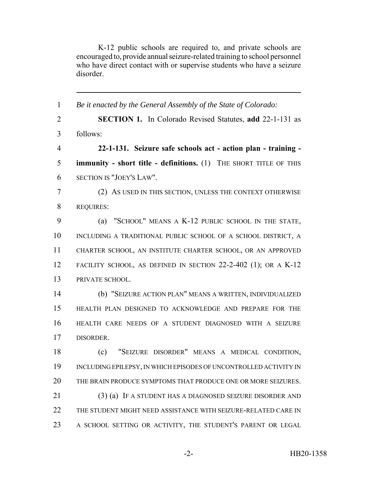K-12 public schools are required to, and private schools are encouraged to, provide annual seizure-related training to school personnel who have direct contact with or supervise students who have a seizure disorder.

 *Be it enacted by the General Assembly of the State of Colorado:* **SECTION 1.** In Colorado Revised Statutes, **add** 22-1-131 as follows: **22-1-131. Seizure safe schools act - action plan - training - immunity - short title - definitions.** (1) THE SHORT TITLE OF THIS SECTION IS "JOEY'S LAW". (2) AS USED IN THIS SECTION, UNLESS THE CONTEXT OTHERWISE REQUIRES: (a) "SCHOOL" MEANS A K-12 PUBLIC SCHOOL IN THE STATE, INCLUDING A TRADITIONAL PUBLIC SCHOOL OF A SCHOOL DISTRICT, A CHARTER SCHOOL, AN INSTITUTE CHARTER SCHOOL, OR AN APPROVED FACILITY SCHOOL, AS DEFINED IN SECTION 22-2-402 (1); OR A K-12 PRIVATE SCHOOL. (b) "SEIZURE ACTION PLAN" MEANS A WRITTEN, INDIVIDUALIZED HEALTH PLAN DESIGNED TO ACKNOWLEDGE AND PREPARE FOR THE HEALTH CARE NEEDS OF A STUDENT DIAGNOSED WITH A SEIZURE DISORDER. (c) "SEIZURE DISORDER" MEANS A MEDICAL CONDITION, INCLUDING EPILEPSY, IN WHICH EPISODES OF UNCONTROLLED ACTIVITY IN THE BRAIN PRODUCE SYMPTOMS THAT PRODUCE ONE OR MORE SEIZURES. (3) (a) IF A STUDENT HAS A DIAGNOSED SEIZURE DISORDER AND THE STUDENT MIGHT NEED ASSISTANCE WITH SEIZURE-RELATED CARE IN A SCHOOL SETTING OR ACTIVITY, THE STUDENT'S PARENT OR LEGAL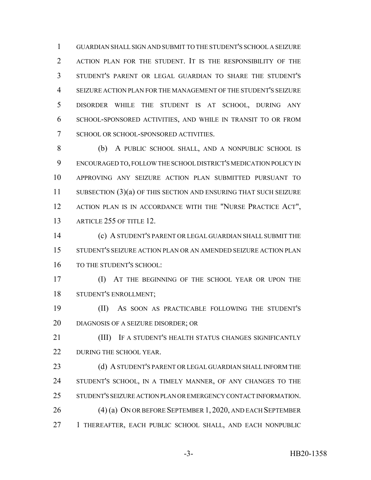GUARDIAN SHALL SIGN AND SUBMIT TO THE STUDENT'S SCHOOL A SEIZURE ACTION PLAN FOR THE STUDENT. IT IS THE RESPONSIBILITY OF THE STUDENT'S PARENT OR LEGAL GUARDIAN TO SHARE THE STUDENT'S SEIZURE ACTION PLAN FOR THE MANAGEMENT OF THE STUDENT'S SEIZURE DISORDER WHILE THE STUDENT IS AT SCHOOL, DURING ANY SCHOOL-SPONSORED ACTIVITIES, AND WHILE IN TRANSIT TO OR FROM SCHOOL OR SCHOOL-SPONSORED ACTIVITIES.

 (b) A PUBLIC SCHOOL SHALL, AND A NONPUBLIC SCHOOL IS ENCOURAGED TO, FOLLOW THE SCHOOL DISTRICT'S MEDICATION POLICY IN APPROVING ANY SEIZURE ACTION PLAN SUBMITTED PURSUANT TO 11 SUBSECTION (3)(a) OF THIS SECTION AND ENSURING THAT SUCH SEIZURE 12 ACTION PLAN IS IN ACCORDANCE WITH THE "NURSE PRACTICE ACT", 13 ARTICLE 255 OF TITLE 12

 (c) A STUDENT'S PARENT OR LEGAL GUARDIAN SHALL SUBMIT THE STUDENT'S SEIZURE ACTION PLAN OR AN AMENDED SEIZURE ACTION PLAN TO THE STUDENT'S SCHOOL:

 (I) AT THE BEGINNING OF THE SCHOOL YEAR OR UPON THE STUDENT'S ENROLLMENT;

 (II) AS SOON AS PRACTICABLE FOLLOWING THE STUDENT'S DIAGNOSIS OF A SEIZURE DISORDER; OR

**III)** IF A STUDENT'S HEALTH STATUS CHANGES SIGNIFICANTLY 22 DURING THE SCHOOL YEAR.

23 (d) A STUDENT'S PARENT OR LEGAL GUARDIAN SHALL INFORM THE STUDENT'S SCHOOL, IN A TIMELY MANNER, OF ANY CHANGES TO THE STUDENT'S SEIZURE ACTION PLAN OR EMERGENCY CONTACT INFORMATION. (4) (a) ON OR BEFORE SEPTEMBER 1, 2020, AND EACH SEPTEMBER 1 THEREAFTER, EACH PUBLIC SCHOOL SHALL, AND EACH NONPUBLIC